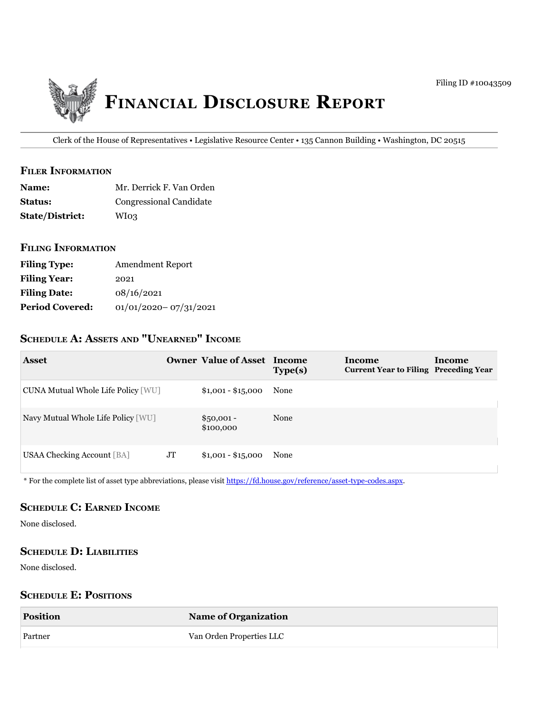

Clerk of the House of Representatives • Legislative Resource Center • 135 Cannon Building • Washington, DC 20515

### **filer iNfOrmatiON**

| <b>Name:</b>           | Mr. Derrick F. Van Orden |
|------------------------|--------------------------|
| <b>Status:</b>         | Congressional Candidate  |
| <b>State/District:</b> | WI03                     |

#### **filiNg iNfOrmatiON**

| <b>Filing Type:</b>    | <b>Amendment Report</b>   |
|------------------------|---------------------------|
| <b>Filing Year:</b>    | 2021                      |
| <b>Filing Date:</b>    | 08/16/2021                |
| <b>Period Covered:</b> | $01/01/2020 - 07/31/2021$ |

# **ScheDule a: aSSetS aND "uNearNeD" iNcOme**

| <b>Asset</b>                       |    | <b>Owner Value of Asset Income</b> | Type(s) | Income<br><b>Current Year to Filing Preceding Year</b> | <b>Income</b> |
|------------------------------------|----|------------------------------------|---------|--------------------------------------------------------|---------------|
| CUNA Mutual Whole Life Policy [WU] |    | $$1,001 - $15,000$                 | None    |                                                        |               |
| Navy Mutual Whole Life Policy [WU] |    | $$50,001 -$<br>\$100,000           | None    |                                                        |               |
| <b>USAA Checking Account [BA]</b>  | JT | $$1,001 - $15,000$                 | None    |                                                        |               |

\* For the complete list of asset type abbreviations, please visit<https://fd.house.gov/reference/asset-type-codes.aspx>.

## **ScheDule c: earNeD iNcOme**

None disclosed.

## **ScheDule D: liabilitieS**

None disclosed.

## **SCHEDULE E: POSITIONS**

| <b>Position</b> | <b>Name of Organization</b> |
|-----------------|-----------------------------|
| Partner         | Van Orden Properties LLC    |